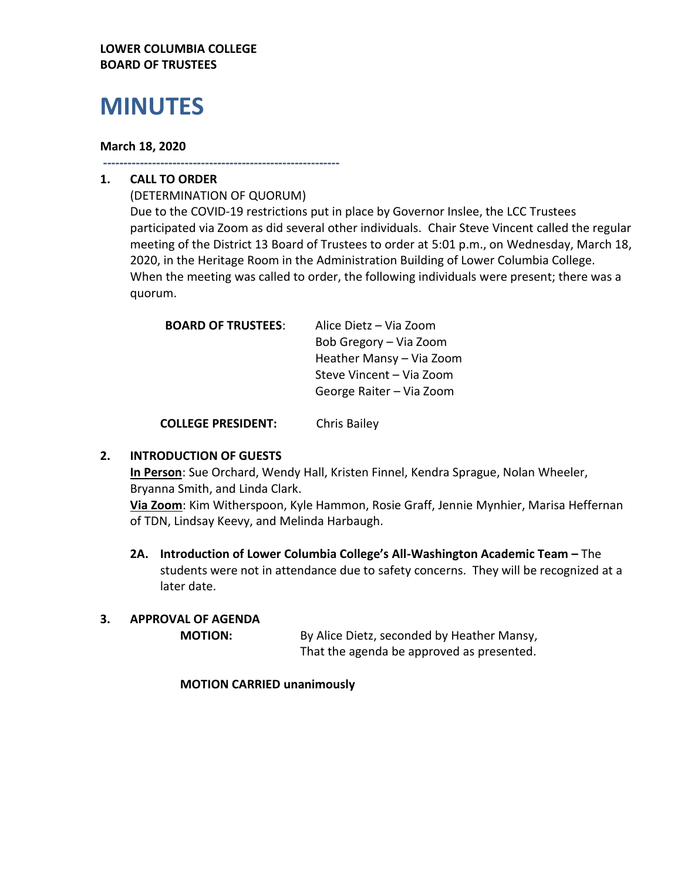#### **LOWER COLUMBIA COLLEGE BOARD OF TRUSTEES**

# **MINUTES**

#### **March 18, 2020**

**----------------------------------------------------------**

# **1. CALL TO ORDER**

(DETERMINATION OF QUORUM) Due to the COVID-19 restrictions put in place by Governor Inslee, the LCC Trustees participated via Zoom as did several other individuals. Chair Steve Vincent called the regular meeting of the District 13 Board of Trustees to order at 5:01 p.m., on Wednesday, March 18, 2020, in the Heritage Room in the Administration Building of Lower Columbia College. When the meeting was called to order, the following individuals were present; there was a quorum.

| <b>BOARD OF TRUSTEES:</b> | Alice Dietz - Via Zoom   |
|---------------------------|--------------------------|
|                           | Bob Gregory – Via Zoom   |
|                           | Heather Mansy - Via Zoom |
|                           | Steve Vincent – Via Zoom |
|                           | George Raiter - Via Zoom |
|                           |                          |

**COLLEGE PRESIDENT:** Chris Bailey

# **2. INTRODUCTION OF GUESTS**

**In Person**: Sue Orchard, Wendy Hall, Kristen Finnel, Kendra Sprague, Nolan Wheeler, Bryanna Smith, and Linda Clark.

**Via Zoom**: Kim Witherspoon, Kyle Hammon, Rosie Graff, Jennie Mynhier, Marisa Heffernan of TDN, Lindsay Keevy, and Melinda Harbaugh.

**2A. Introduction of Lower Columbia College's All-Washington Academic Team –** The students were not in attendance due to safety concerns. They will be recognized at a later date.

# **3. APPROVAL OF AGENDA**

**MOTION:** By Alice Dietz, seconded by Heather Mansy, That the agenda be approved as presented.

#### **MOTION CARRIED unanimously**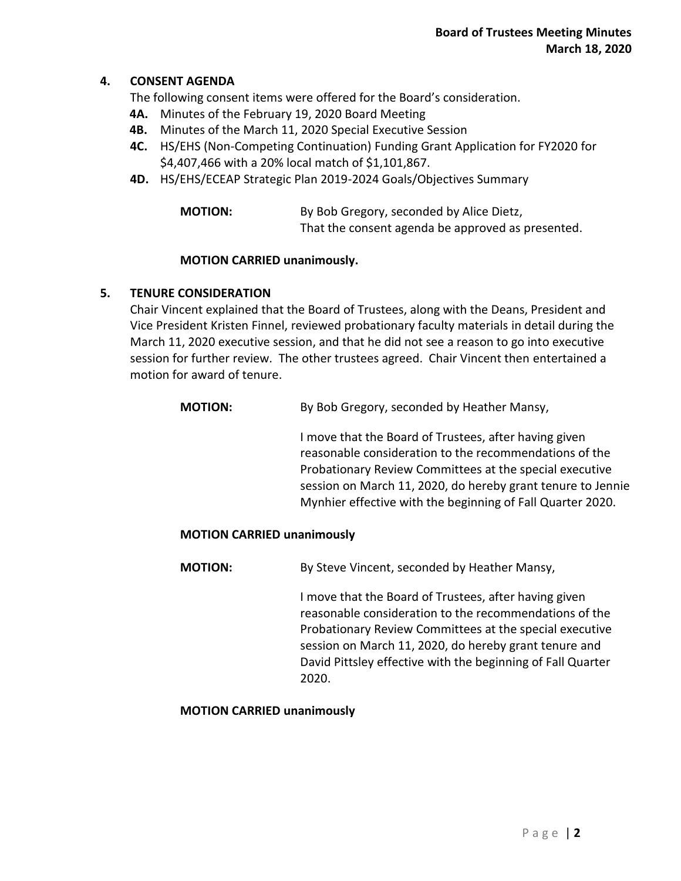### **4. CONSENT AGENDA**

The following consent items were offered for the Board's consideration.

- **4A.** Minutes of the February 19, 2020 Board Meeting
- **4B.** Minutes of the March 11, 2020 Special Executive Session
- **4C.** HS/EHS (Non-Competing Continuation) Funding Grant Application for FY2020 for \$4,407,466 with a 20% local match of \$1,101,867.
- **4D.** HS/EHS/ECEAP Strategic Plan 2019-2024 Goals/Objectives Summary

| <b>MOTION:</b> | By Bob Gregory, seconded by Alice Dietz,          |
|----------------|---------------------------------------------------|
|                | That the consent agenda be approved as presented. |

#### **MOTION CARRIED unanimously.**

#### **5. TENURE CONSIDERATION**

Chair Vincent explained that the Board of Trustees, along with the Deans, President and Vice President Kristen Finnel, reviewed probationary faculty materials in detail during the March 11, 2020 executive session, and that he did not see a reason to go into executive session for further review. The other trustees agreed. Chair Vincent then entertained a motion for award of tenure.

| <b>MOTION:</b> | By Bob Gregory, seconded by Heather Mansy,                                                                                                                                                                                                                                                              |
|----------------|---------------------------------------------------------------------------------------------------------------------------------------------------------------------------------------------------------------------------------------------------------------------------------------------------------|
|                | I move that the Board of Trustees, after having given<br>reasonable consideration to the recommendations of the<br>Probationary Review Committees at the special executive<br>session on March 11, 2020, do hereby grant tenure to Jennie<br>Mynhier effective with the beginning of Fall Quarter 2020. |
|                |                                                                                                                                                                                                                                                                                                         |

#### **MOTION CARRIED unanimously**

**MOTION:** By Steve Vincent, seconded by Heather Mansy,

I move that the Board of Trustees, after having given reasonable consideration to the recommendations of the Probationary Review Committees at the special executive session on March 11, 2020, do hereby grant tenure and David Pittsley effective with the beginning of Fall Quarter 2020.

#### **MOTION CARRIED unanimously**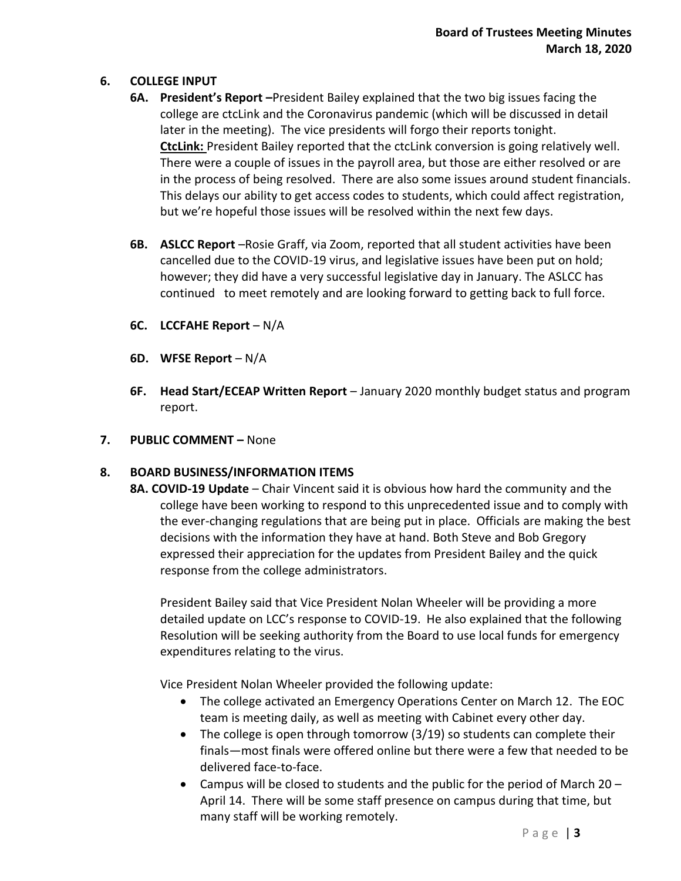## **6. COLLEGE INPUT**

- **6A. President's Report –**President Bailey explained that the two big issues facing the college are ctcLink and the Coronavirus pandemic (which will be discussed in detail later in the meeting). The vice presidents will forgo their reports tonight. **CtcLink:** President Bailey reported that the ctcLink conversion is going relatively well. There were a couple of issues in the payroll area, but those are either resolved or are in the process of being resolved. There are also some issues around student financials. This delays our ability to get access codes to students, which could affect registration, but we're hopeful those issues will be resolved within the next few days.
- **6B. ASLCC Report** –Rosie Graff, via Zoom, reported that all student activities have been cancelled due to the COVID-19 virus, and legislative issues have been put on hold; however; they did have a very successful legislative day in January. The ASLCC has continued to meet remotely and are looking forward to getting back to full force.
- **6C. LCCFAHE Report** N/A
- **6D. WFSE Report** N/A
- **6F. Head Start/ECEAP Written Report** January 2020 monthly budget status and program report.
- **7. PUBLIC COMMENT –** None

# **8. BOARD BUSINESS/INFORMATION ITEMS**

**8A. COVID-19 Update** – Chair Vincent said it is obvious how hard the community and the college have been working to respond to this unprecedented issue and to comply with the ever-changing regulations that are being put in place. Officials are making the best decisions with the information they have at hand. Both Steve and Bob Gregory expressed their appreciation for the updates from President Bailey and the quick response from the college administrators.

President Bailey said that Vice President Nolan Wheeler will be providing a more detailed update on LCC's response to COVID-19. He also explained that the following Resolution will be seeking authority from the Board to use local funds for emergency expenditures relating to the virus.

Vice President Nolan Wheeler provided the following update:

- The college activated an Emergency Operations Center on March 12. The EOC team is meeting daily, as well as meeting with Cabinet every other day.
- $\bullet$  The college is open through tomorrow (3/19) so students can complete their finals—most finals were offered online but there were a few that needed to be delivered face-to-face.
- Campus will be closed to students and the public for the period of March  $20 -$ April 14. There will be some staff presence on campus during that time, but many staff will be working remotely.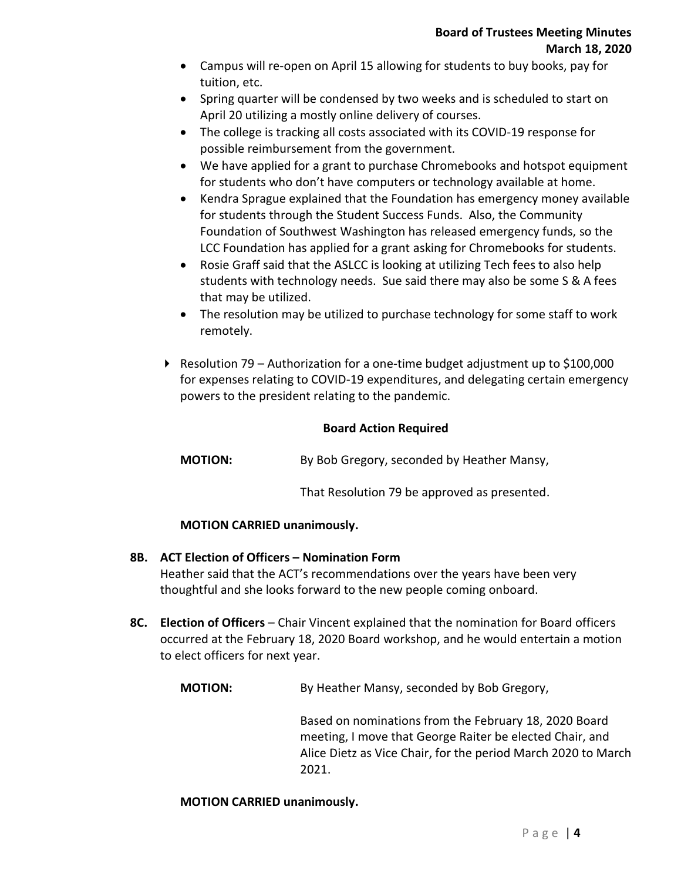- Campus will re-open on April 15 allowing for students to buy books, pay for tuition, etc.
- Spring quarter will be condensed by two weeks and is scheduled to start on April 20 utilizing a mostly online delivery of courses.
- The college is tracking all costs associated with its COVID-19 response for possible reimbursement from the government.
- We have applied for a grant to purchase Chromebooks and hotspot equipment for students who don't have computers or technology available at home.
- Kendra Sprague explained that the Foundation has emergency money available for students through the Student Success Funds. Also, the Community Foundation of Southwest Washington has released emergency funds, so the LCC Foundation has applied for a grant asking for Chromebooks for students.
- Rosie Graff said that the ASLCC is looking at utilizing Tech fees to also help students with technology needs. Sue said there may also be some S & A fees that may be utilized.
- The resolution may be utilized to purchase technology for some staff to work remotely.
- Resolution 79 Authorization for a one-time budget adjustment up to  $$100,000$ for expenses relating to COVID-19 expenditures, and delegating certain emergency powers to the president relating to the pandemic.

## **Board Action Required**

**MOTION:** By Bob Gregory, seconded by Heather Mansy,

That Resolution 79 be approved as presented.

#### **MOTION CARRIED unanimously.**

#### **8B. ACT Election of Officers – Nomination Form**

Heather said that the ACT's recommendations over the years have been very thoughtful and she looks forward to the new people coming onboard.

**8C. Election of Officers** – Chair Vincent explained that the nomination for Board officers occurred at the February 18, 2020 Board workshop, and he would entertain a motion to elect officers for next year.

**MOTION:** By Heather Mansy, seconded by Bob Gregory,

Based on nominations from the February 18, 2020 Board meeting, I move that George Raiter be elected Chair, and Alice Dietz as Vice Chair, for the period March 2020 to March 2021.

#### **MOTION CARRIED unanimously.**